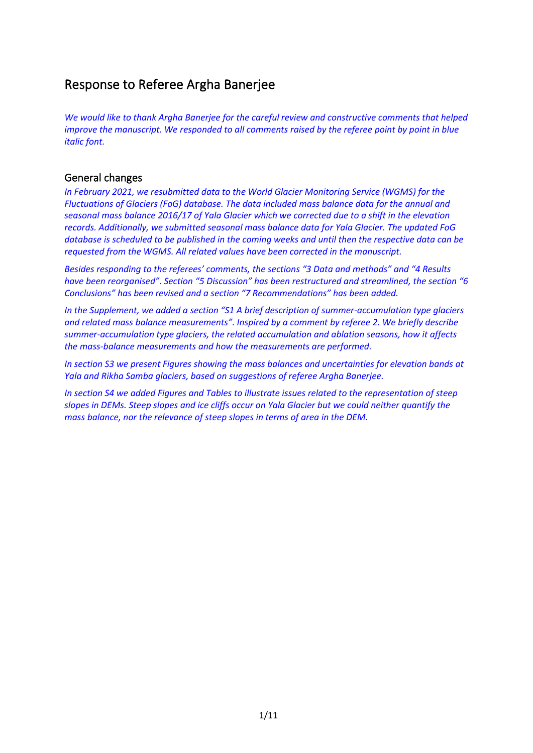## Response to Referee Argha Banerjee

*We would like to thank Argha Banerjee for the careful review and constructive comments that helped improve the manuscript. We responded to all comments raised by the referee point by point in blue italic font.*

### General changes

*In February 2021, we resubmitted data to the World Glacier Monitoring Service (WGMS) for the Fluctuations of Glaciers (FoG) database. The data included mass balance data for the annual and seasonal mass balance 2016/17 of Yala Glacier which we corrected due to a shift in the elevation records. Additionally, we submitted seasonal mass balance data for Yala Glacier. The updated FoG database is scheduled to be published in the coming weeks and until then the respective data can be requested from the WGMS. All related values have been corrected in the manuscript.*

*Besides responding to the referees' comments, the sections "3 Data and methods" and "4 Results have been reorganised". Section "5 Discussion" has been restructured and streamlined, the section "6 Conclusions" has been revised and a section "7 Recommendations" has been added.*

*In the Supplement, we added a section "S1 A brief description of summer-accumulation type glaciers and related mass balance measurements". Inspired by a comment by referee 2. We briefly describe summer-accumulation type glaciers, the related accumulation and ablation seasons, how it affects the mass-balance measurements and how the measurements are performed.*

*In section S3 we present Figures showing the mass balances and uncertainties for elevation bands at Yala and Rikha Samba glaciers, based on suggestions of referee Argha Banerjee.*

*In section S4 we added Figures and Tables to illustrate issues related to the representation of steep slopes in DEMs. Steep slopes and ice cliffs occur on Yala Glacier but we could neither quantify the mass balance, nor the relevance of steep slopes in terms of area in the DEM.*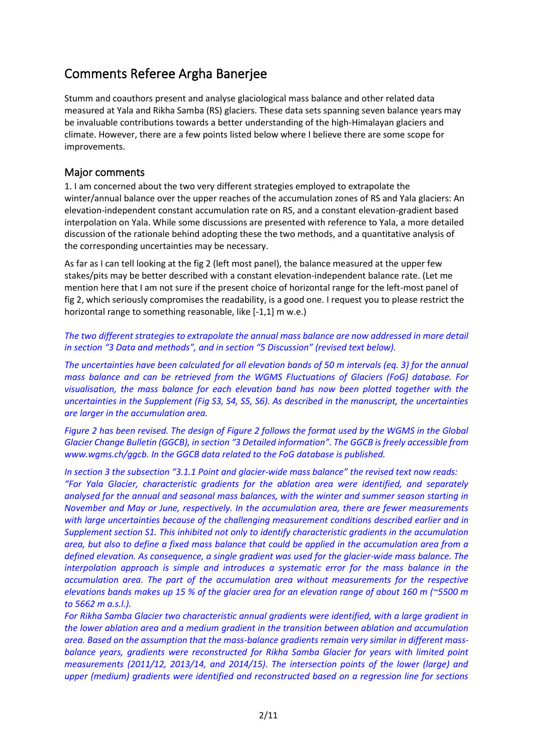# Comments Referee Argha Banerjee

Stumm and coauthors present and analyse glaciological mass balance and other related data measured at Yala and Rikha Samba (RS) glaciers. These data sets spanning seven balance years may be invaluable contributions towards a better understanding of the high-Himalayan glaciers and climate. However, there are a few points listed below where I believe there are some scope for improvements.

## Major comments

1. I am concerned about the two very different strategies employed to extrapolate the winter/annual balance over the upper reaches of the accumulation zones of RS and Yala glaciers: An elevation-independent constant accumulation rate on RS, and a constant elevation-gradient based interpolation on Yala. While some discussions are presented with reference to Yala, a more detailed discussion of the rationale behind adopting these the two methods, and a quantitative analysis of the corresponding uncertainties may be necessary.

As far as I can tell looking at the fig 2 (left most panel), the balance measured at the upper few stakes/pits may be better described with a constant elevation-independent balance rate. (Let me mention here that I am not sure if the present choice of horizontal range for the left-most panel of fig 2, which seriously compromises the readability, is a good one. I request you to please restrict the horizontal range to something reasonable, like [-1,1] m w.e.)

*The two different strategies to extrapolate the annual mass balance are now addressed in more detail in section "3 Data and methods", and in section "5 Discussion" (revised text below).*

*The uncertainties have been calculated for all elevation bands of 50 m intervals (eq. 3) for the annual mass balance and can be retrieved from the WGMS Fluctuations of Glaciers (FoG) database. For visualisation, the mass balance for each elevation band has now been plotted together with the uncertainties in the Supplement (Fig S3, S4, S5, S6). As described in the manuscript, the uncertainties are larger in the accumulation area.* 

*Figure 2 has been revised. The design of Figure 2 follows the format used by the WGMS in the Global Glacier Change Bulletin (GGCB), in section "3 Detailed information". The GGCB is freely accessible from www.wgms.ch/ggcb. In the GGCB data related to the FoG database is published.*

*In section 3 the subsection "3.1.1 Point and glacier-wide mass balance" the revised text now reads: "For Yala Glacier, characteristic gradients for the ablation area were identified, and separately analysed for the annual and seasonal mass balances, with the winter and summer season starting in November and May or June, respectively. In the accumulation area, there are fewer measurements with large uncertainties because of the challenging measurement conditions described earlier and in Supplement section S1. This inhibited not only to identify characteristic gradients in the accumulation area, but also to define a fixed mass balance that could be applied in the accumulation area from a defined elevation. As consequence, a single gradient was used for the glacier-wide mass balance. The interpolation approach is simple and introduces a systematic error for the mass balance in the accumulation area. The part of the accumulation area without measurements for the respective elevations bands makes up 15 % of the glacier area for an elevation range of about 160 m (~5500 m to 5662 m a.s.l.).*

*For Rikha Samba Glacier two characteristic annual gradients were identified, with a large gradient in the lower ablation area and a medium gradient in the transition between ablation and accumulation area. Based on the assumption that the mass-balance gradients remain very similar in different massbalance years, gradients were reconstructed for Rikha Samba Glacier for years with limited point measurements (2011/12, 2013/14, and 2014/15). The intersection points of the lower (large) and upper (medium) gradients were identified and reconstructed based on a regression line for sections*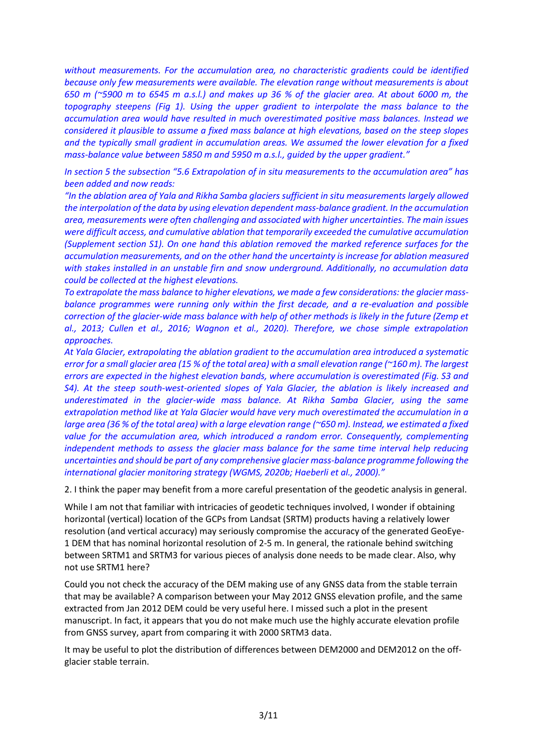*without measurements. For the accumulation area, no characteristic gradients could be identified because only few measurements were available. The elevation range without measurements is about 650 m (~5900 m to 6545 m a.s.l.) and makes up 36 % of the glacier area. At about 6000 m, the topography steepens (Fig 1). Using the upper gradient to interpolate the mass balance to the accumulation area would have resulted in much overestimated positive mass balances. Instead we considered it plausible to assume a fixed mass balance at high elevations, based on the steep slopes and the typically small gradient in accumulation areas. We assumed the lower elevation for a fixed mass-balance value between 5850 m and 5950 m a.s.l., guided by the upper gradient."*

*In section 5 the subsection "5.6 Extrapolation of in situ measurements to the accumulation area" has been added and now reads:*

*"In the ablation area of Yala and Rikha Samba glaciers sufficient in situ measurements largely allowed the interpolation of the data by using elevation dependent mass-balance gradient. In the accumulation area, measurements were often challenging and associated with higher uncertainties. The main issues were difficult access, and cumulative ablation that temporarily exceeded the cumulative accumulation (Supplement section S1). On one hand this ablation removed the marked reference surfaces for the accumulation measurements, and on the other hand the uncertainty is increase for ablation measured with stakes installed in an unstable firn and snow underground. Additionally, no accumulation data could be collected at the highest elevations.*

*To extrapolate the mass balance to higher elevations, we made a few considerations: the glacier massbalance programmes were running only within the first decade, and a re-evaluation and possible correction of the glacier-wide mass balance with help of other methods is likely in the future (Zemp et al., 2013; Cullen et al., 2016; Wagnon et al., 2020). Therefore, we chose simple extrapolation approaches.* 

*At Yala Glacier, extrapolating the ablation gradient to the accumulation area introduced a systematic error for a small glacier area (15 % of the total area) with a small elevation range (~160 m). The largest errors are expected in the highest elevation bands, where accumulation is overestimated (Fig. S3 and S4).* At the steep south-west-oriented slopes of Yala Glacier, the ablation is likely increased and *underestimated in the glacier-wide mass balance. At Rikha Samba Glacier, using the same extrapolation method like at Yala Glacier would have very much overestimated the accumulation in a large area (36 % of the total area) with a large elevation range (~650 m). Instead, we estimated a fixed value for the accumulation area, which introduced a random error. Consequently, complementing independent methods to assess the glacier mass balance for the same time interval help reducing uncertainties and should be part of any comprehensive glacier mass-balance programme following the international glacier monitoring strategy (WGMS, 2020b; Haeberli et al., 2000)."*

2. I think the paper may benefit from a more careful presentation of the geodetic analysis in general.

While I am not that familiar with intricacies of geodetic techniques involved, I wonder if obtaining horizontal (vertical) location of the GCPs from Landsat (SRTM) products having a relatively lower resolution (and vertical accuracy) may seriously compromise the accuracy of the generated GeoEye-1 DEM that has nominal horizontal resolution of 2-5 m. In general, the rationale behind switching between SRTM1 and SRTM3 for various pieces of analysis done needs to be made clear. Also, why not use SRTM1 here?

Could you not check the accuracy of the DEM making use of any GNSS data from the stable terrain that may be available? A comparison between your May 2012 GNSS elevation profile, and the same extracted from Jan 2012 DEM could be very useful here. I missed such a plot in the present manuscript. In fact, it appears that you do not make much use the highly accurate elevation profile from GNSS survey, apart from comparing it with 2000 SRTM3 data.

It may be useful to plot the distribution of differences between DEM2000 and DEM2012 on the offglacier stable terrain.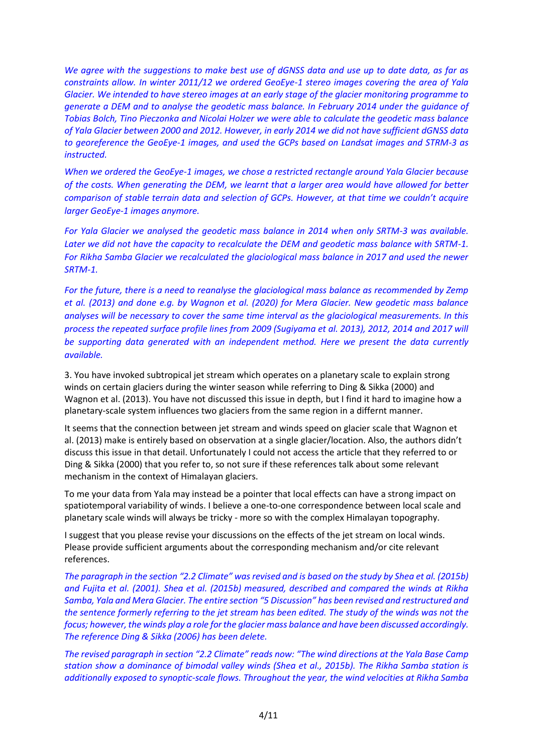*We agree with the suggestions to make best use of dGNSS data and use up to date data, as far as constraints allow. In winter 2011/12 we ordered GeoEye-1 stereo images covering the area of Yala Glacier. We intended to have stereo images at an early stage of the glacier monitoring programme to generate a DEM and to analyse the geodetic mass balance. In February 2014 under the guidance of Tobias Bolch, Tino Pieczonka and Nicolai Holzer we were able to calculate the geodetic mass balance of Yala Glacier between 2000 and 2012. However, in early 2014 we did not have sufficient dGNSS data to georeference the GeoEye-1 images, and used the GCPs based on Landsat images and STRM-3 as instructed.*

*When we ordered the GeoEye-1 images, we chose a restricted rectangle around Yala Glacier because of the costs. When generating the DEM, we learnt that a larger area would have allowed for better comparison of stable terrain data and selection of GCPs. However, at that time we couldn't acquire larger GeoEye-1 images anymore.*

*For Yala Glacier we analysed the geodetic mass balance in 2014 when only SRTM-3 was available. Later we did not have the capacity to recalculate the DEM and geodetic mass balance with SRTM-1. For Rikha Samba Glacier we recalculated the glaciological mass balance in 2017 and used the newer SRTM-1.*

*For the future, there is a need to reanalyse the glaciological mass balance as recommended by Zemp et al. (2013) and done e.g. by Wagnon et al. (2020) for Mera Glacier. New geodetic mass balance analyses will be necessary to cover the same time interval as the glaciological measurements. In this process the repeated surface profile lines from 2009 (Sugiyama et al. 2013), 2012, 2014 and 2017 will be supporting data generated with an independent method. Here we present the data currently available.*

3. You have invoked subtropical jet stream which operates on a planetary scale to explain strong winds on certain glaciers during the winter season while referring to Ding & Sikka (2000) and Wagnon et al. (2013). You have not discussed this issue in depth, but I find it hard to imagine how a planetary-scale system influences two glaciers from the same region in a differnt manner.

It seems that the connection between jet stream and winds speed on glacier scale that Wagnon et al. (2013) make is entirely based on observation at a single glacier/location. Also, the authors didn't discuss this issue in that detail. Unfortunately I could not access the article that they referred to or Ding & Sikka (2000) that you refer to, so not sure if these references talk about some relevant mechanism in the context of Himalayan glaciers.

To me your data from Yala may instead be a pointer that local effects can have a strong impact on spatiotemporal variability of winds. I believe a one-to-one correspondence between local scale and planetary scale winds will always be tricky - more so with the complex Himalayan topography.

I suggest that you please revise your discussions on the effects of the jet stream on local winds. Please provide sufficient arguments about the corresponding mechanism and/or cite relevant references.

*The paragraph in the section "2.2 Climate" wasrevised and is based on the study by Shea et al. (2015b) and Fujita et al. (2001). Shea et al. (2015b) measured, described and compared the winds at Rikha Samba, Yala and Mera Glacier. The entire section "5 Discussion" has been revised and restructured and the sentence formerly referring to the jet stream has been edited. The study of the winds was not the focus; however, the winds play a role for the glacier mass balance and have been discussed accordingly. The reference Ding & Sikka (2006) has been delete.* 

*The revised paragraph in section "2.2 Climate" reads now: "The wind directions at the Yala Base Camp station show a dominance of bimodal valley winds (Shea et al., 2015b). The Rikha Samba station is additionally exposed to synoptic-scale flows. Throughout the year, the wind velocities at Rikha Samba*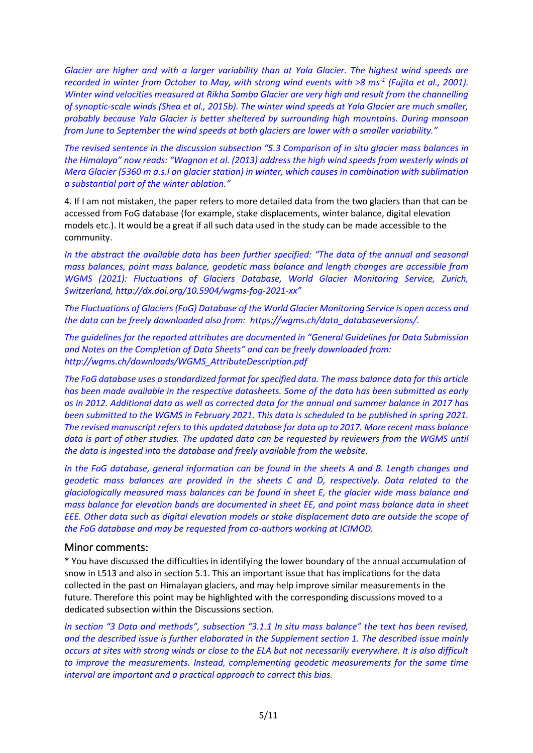*Glacier are higher and with a larger variability than at Yala Glacier. The highest wind speeds are recorded in winter from October to May, with strong wind events with >8 ms-1 (Fujita et al., 2001). Winter wind velocities measured at Rikha Samba Glacier are very high and result from the channelling of synoptic-scale winds (Shea et al., 2015b). The winter wind speeds at Yala Glacier are much smaller, probably because Yala Glacier is better sheltered by surrounding high mountains. During monsoon from June to September the wind speeds at both glaciers are lower with a smaller variability."*

*The revised sentence in the discussion subsection "5.3 Comparison of in situ glacier mass balances in the Himalaya" now reads: "Wagnon et al. (2013) address the high wind speeds from westerly winds at Mera Glacier (5360 m a.s.l on glacier station) in winter, which causes in combination with sublimation a substantial part of the winter ablation."*

4. If I am not mistaken, the paper refers to more detailed data from the two glaciers than that can be accessed from FoG database (for example, stake displacements, winter balance, digital elevation models etc.). It would be a great if all such data used in the study can be made accessible to the community.

*In the abstract the available data has been further specified: "The data of the annual and seasonal mass balances, point mass balance, geodetic mass balance and length changes are accessible from WGMS (2021): Fluctuations of Glaciers Database, World Glacier Monitoring Service, Zurich, Switzerland, http://dx.doi.org/10.5904/wgms-fog-2021-xx"*

*The Fluctuations of Glaciers (FoG) Database of the World Glacier Monitoring Service is open access and the data can be freely downloaded also from: https://wgms.ch/data\_databaseversions/.*

*The guidelines for the reported attributes are documented in "General Guidelines for Data Submission and Notes on the Completion of Data Sheets" and can be freely downloaded from: http://wgms.ch/downloads/WGMS\_AttributeDescription.pdf*

*The FoG database uses a standardized format for specified data. The mass balance data for this article has been made available in the respective datasheets. Some of the data has been submitted as early as in 2012. Additional data as well as corrected data for the annual and summer balance in 2017 has been submitted to the WGMS in February 2021. This data is scheduled to be published in spring 2021. The revised manuscript refers to this updated database for data up to 2017. More recent mass balance data is part of other studies. The updated data can be requested by reviewers from the WGMS until the data is ingested into the database and freely available from the website.* 

*In the FoG database, general information can be found in the sheets A and B. Length changes and geodetic mass balances are provided in the sheets C and D, respectively. Data related to the glaciologically measured mass balances can be found in sheet E, the glacier wide mass balance and mass balance for elevation bands are documented in sheet EE, and point mass balance data in sheet EEE. Other data such as digital elevation models or stake displacement data are outside the scope of the FoG database and may be requested from co-authors working at ICIMOD.*

#### Minor comments:

\* You have discussed the difficulties in identifying the lower boundary of the annual accumulation of snow in L513 and also in section 5.1. This an important issue that has implications for the data collected in the past on Himalayan glaciers, and may help improve similar measurements in the future. Therefore this point may be highlighted with the corresponding discussions moved to a dedicated subsection within the Discussions section.

*In section "3 Data and methods", subsection "3.1.1 In situ mass balance" the text has been revised, and the described issue is further elaborated in the Supplement section 1. The described issue mainly occurs at sites with strong winds or close to the ELA but not necessarily everywhere. It is also difficult to improve the measurements. Instead, complementing geodetic measurements for the same time interval are important and a practical approach to correct this bias.*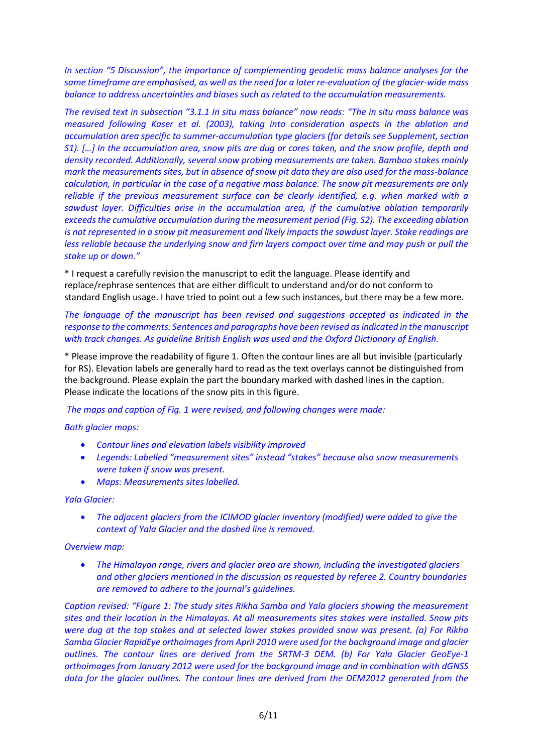*In section "5 Discussion", the importance of complementing geodetic mass balance analyses for the same timeframe are emphasised, as well as the need for a later re-evaluation of the glacier-wide mass balance to address uncertainties and biases such as related to the accumulation measurements.*

*The revised text in subsection "3.1.1 In situ mass balance" now reads: "The in situ mass balance was measured following Kaser et al. (2003), taking into consideration aspects in the ablation and accumulation area specific to summer-accumulation type glaciers (for details see Supplement, section S1). […] In the accumulation area, snow pits are dug or cores taken, and the snow profile, depth and density recorded. Additionally, several snow probing measurements are taken. Bamboo stakes mainly mark the measurements sites, but in absence of snow pit data they are also used for the mass-balance calculation, in particular in the case of a negative mass balance. The snow pit measurements are only reliable if the previous measurement surface can be clearly identified, e.g. when marked with a sawdust layer. Difficulties arise in the accumulation area, if the cumulative ablation temporarily exceeds the cumulative accumulation during the measurement period (Fig. S2). The exceeding ablation is not represented in a snow pit measurement and likely impacts the sawdust layer. Stake readings are less reliable because the underlying snow and firn layers compact over time and may push or pull the stake up or down."*

\* I request a carefully revision the manuscript to edit the language. Please identify and replace/rephrase sentences that are either difficult to understand and/or do not conform to standard English usage. I have tried to point out a few such instances, but there may be a few more.

*The language of the manuscript has been revised and suggestions accepted as indicated in the response to the comments. Sentences and paragraphs have been revised as indicated in the manuscript with track changes. As guideline British English was used and the Oxford Dictionary of English.*

\* Please improve the readability of figure 1. Often the contour lines are all but invisible (particularly for RS). Elevation labels are generally hard to read as the text overlays cannot be distinguished from the background. Please explain the part the boundary marked with dashed lines in the caption. Please indicate the locations of the snow pits in this figure.

*The maps and caption of Fig. 1 were revised, and following changes were made:*

#### *Both glacier maps:*

- *Contour lines and elevation labels visibility improved*
- *Legends: Labelled "measurement sites" instead "stakes" because also snow measurements were taken if snow was present.*
- *Maps: Measurements sites labelled.*

#### *Yala Glacier:*

• *The adjacent glaciers from the ICIMOD glacier inventory (modified) were added to give the context of Yala Glacier and the dashed line is removed.*

#### *Overview map:*

• *The Himalayan range, rivers and glacier area are shown, including the investigated glaciers and other glaciers mentioned in the discussion as requested by referee 2. Country boundaries are removed to adhere to the journal's guidelines.*

*Caption revised: "Figure 1: The study sites Rikha Samba and Yala glaciers showing the measurement sites and their location in the Himalayas. At all measurements sites stakes were installed. Snow pits were dug at the top stakes and at selected lower stakes provided snow was present. (a) For Rikha Samba Glacier RapidEye orthoimages from April 2010 were used for the background image and glacier outlines. The contour lines are derived from the SRTM-3 DEM. (b) For Yala Glacier GeoEye-1 orthoimages from January 2012 were used for the background image and in combination with dGNSS data for the glacier outlines. The contour lines are derived from the DEM2012 generated from the*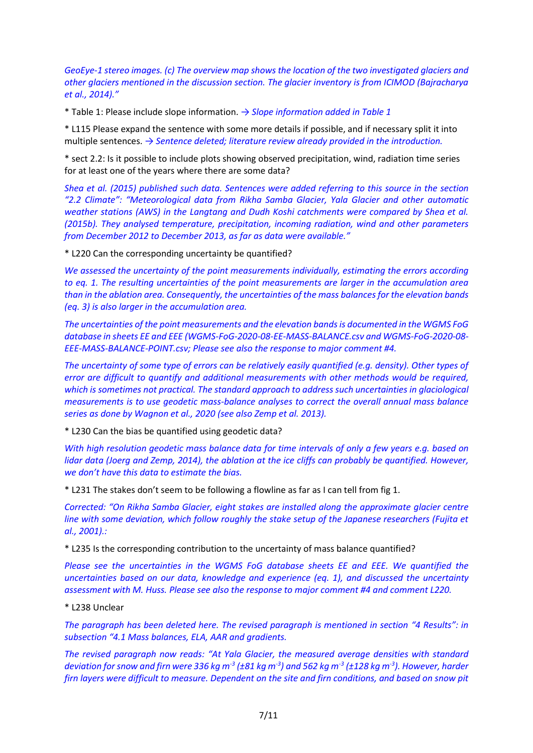*GeoEye-1 stereo images. (c) The overview map shows the location of the two investigated glaciers and other glaciers mentioned in the discussion section. The glacier inventory is from ICIMOD (Bajracharya et al., 2014)."*

\* Table 1: Please include slope information. *→ Slope information added in Table 1* 

\* L115 Please expand the sentence with some more details if possible, and if necessary split it into multiple sentences. *→ Sentence deleted; literature review already provided in the introduction.*

\* sect 2.2: Is it possible to include plots showing observed precipitation, wind, radiation time series for at least one of the years where there are some data?

*Shea et al. (2015) published such data. Sentences were added referring to this source in the section* "2.2 Climate": "Meteorological data from Rikha Samba Glacier, Yala Glacier and other automatic *weather stations (AWS) in the Langtang and Dudh Koshi catchments were compared by Shea et al. (2015b). They analysed temperature, precipitation, incoming radiation, wind and other parameters from December 2012 to December 2013, as far as data were available."*

\* L220 Can the corresponding uncertainty be quantified?

*We assessed the uncertainty of the point measurements individually, estimating the errors according to eq. 1. The resulting uncertainties of the point measurements are larger in the accumulation area than in the ablation area. Consequently, the uncertainties of the mass balancesfor the elevation bands (eq. 3) is also larger in the accumulation area.* 

*The uncertainties of the point measurements and the elevation bands is documented in the WGMS FoG database in sheets EE and EEE (WGMS-FoG-2020-08-EE-MASS-BALANCE.csv and WGMS-FoG-2020-08- EEE-MASS-BALANCE-POINT.csv; Please see also the response to major comment #4.*

*The uncertainty of some type of errors can be relatively easily quantified (e.g. density). Other types of error are difficult to quantify and additional measurements with other methods would be required, which is sometimes not practical. The standard approach to address such uncertainties in glaciological measurements is to use geodetic mass-balance analyses to correct the overall annual mass balance series as done by Wagnon et al., 2020 (see also Zemp et al. 2013).* 

\* L230 Can the bias be quantified using geodetic data?

*With high resolution geodetic mass balance data for time intervals of only a few years e.g. based on lidar data (Joerg and Zemp, 2014), the ablation at the ice cliffs can probably be quantified. However, we don't have this data to estimate the bias.*

\* L231 The stakes don't seem to be following a flowline as far as I can tell from fig 1.

*Corrected: "On Rikha Samba Glacier, eight stakes are installed along the approximate glacier centre line with some deviation, which follow roughly the stake setup of the Japanese researchers (Fujita et al., 2001).:*

\* L235 Is the corresponding contribution to the uncertainty of mass balance quantified?

*Please see the uncertainties in the WGMS FoG database sheets EE and EEE. We quantified the uncertainties based on our data, knowledge and experience (eq. 1), and discussed the uncertainty assessment with M. Huss. Please see also the response to major comment #4 and comment L220.*

\* L238 Unclear

*The paragraph has been deleted here. The revised paragraph is mentioned in section "4 Results": in subsection "4.1 Mass balances, ELA, AAR and gradients.*

*The revised paragraph now reads: "At Yala Glacier, the measured average densities with standard deviation for snow and firn were 336 kg m-3 (±81 kg m-3 ) and 562 kg m-3 (±128 kg m-3 ). However, harder firn layers were difficult to measure. Dependent on the site and firn conditions, and based on snow pit*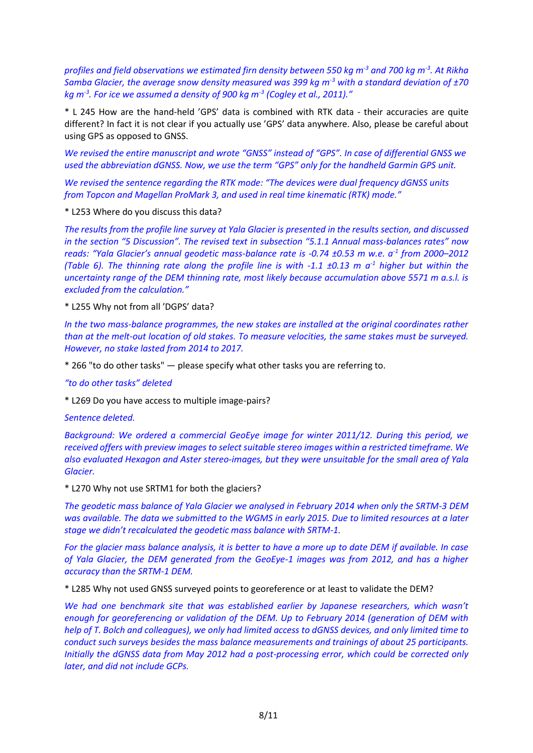*profiles and field observations we estimated firn density between 550 kg m-3 and 700 kg m-3 . At Rikha Samba Glacier, the average snow density measured was 399 kg m-3 with a standard deviation of ±70 kg m-3 . For ice we assumed a density of 900 kg m-3 (Cogley et al., 2011)."*

\* L 245 How are the hand-held 'GPS' data is combined with RTK data - their accuracies are quite different? In fact it is not clear if you actually use 'GPS' data anywhere. Also, please be careful about using GPS as opposed to GNSS.

*We revised the entire manuscript and wrote "GNSS" instead of "GPS". In case of differential GNSS we used the abbreviation dGNSS. Now, we use the term "GPS" only for the handheld Garmin GPS unit.* 

*We revised the sentence regarding the RTK mode: "The devices were dual frequency dGNSS units from Topcon and Magellan ProMark 3, and used in real time kinematic (RTK) mode."*

\* L253 Where do you discuss this data?

*The results from the profile line survey at Yala Glacier is presented in the results section, and discussed in the section "5 Discussion". The revised text in subsection "5.1.1 Annual mass-balances rates" now reads: "Yala Glacier's annual geodetic mass-balance rate is -0.74 ±0.53 m w.e. a-1 from 2000–2012 (Table 6). The thinning rate along the profile line is with -1.1 ±0.13 m a-1 higher but within the uncertainty range of the DEM thinning rate, most likely because accumulation above 5571 m a.s.l. is excluded from the calculation."*

\* L255 Why not from all 'DGPS' data?

*In the two mass-balance programmes, the new stakes are installed at the original coordinates rather than at the melt-out location of old stakes. To measure velocities, the same stakes must be surveyed. However, no stake lasted from 2014 to 2017.*

\* 266 "to do other tasks" — please specify what other tasks you are referring to.

*"to do other tasks" deleted*

\* L269 Do you have access to multiple image-pairs?

*Sentence deleted.*

*Background: We ordered a commercial GeoEye image for winter 2011/12. During this period, we received offers with preview images to select suitable stereo images within a restricted timeframe. We also evaluated Hexagon and Aster stereo-images, but they were unsuitable for the small area of Yala Glacier.*

\* L270 Why not use SRTM1 for both the glaciers?

*The geodetic mass balance of Yala Glacier we analysed in February 2014 when only the SRTM-3 DEM was available. The data we submitted to the WGMS in early 2015. Due to limited resources at a later stage we didn't recalculated the geodetic mass balance with SRTM-1.*

*For the glacier mass balance analysis, it is better to have a more up to date DEM if available. In case of Yala Glacier, the DEM generated from the GeoEye-1 images was from 2012, and has a higher accuracy than the SRTM-1 DEM.*

\* L285 Why not used GNSS surveyed points to georeference or at least to validate the DEM?

*We had one benchmark site that was established earlier by Japanese researchers, which wasn't enough for georeferencing or validation of the DEM. Up to February 2014 (generation of DEM with help of T. Bolch and colleagues), we only had limited access to dGNSS devices, and only limited time to conduct such surveys besides the mass balance measurements and trainings of about 25 participants. Initially the dGNSS data from May 2012 had a post-processing error, which could be corrected only later, and did not include GCPs.*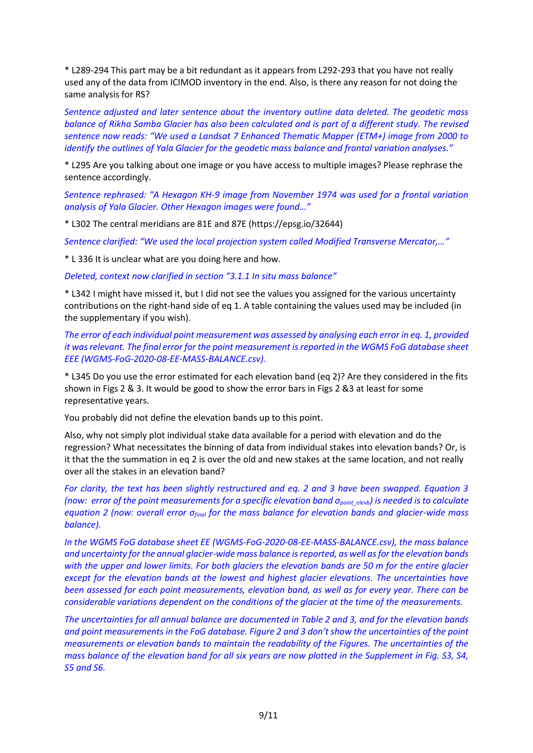\* L289-294 This part may be a bit redundant as it appears from L292-293 that you have not really used any of the data from ICIMOD inventory in the end. Also, is there any reason for not doing the same analysis for RS?

*Sentence adjusted and later sentence about the inventory outline data deleted. The geodetic mass balance of Rikha Samba Glacier has also been calculated and is part of a different study. The revised sentence now reads: "We used a Landsat 7 Enhanced Thematic Mapper (ETM+) image from 2000 to identify the outlines of Yala Glacier for the geodetic mass balance and frontal variation analyses."*

\* L295 Are you talking about one image or you have access to multiple images? Please rephrase the sentence accordingly.

*Sentence rephrased: "A Hexagon KH-9 image from November 1974 was used for a frontal variation analysis of Yala Glacier. Other Hexagon images were found…"*

\* L302 The central meridians are 81E and 87E (https://epsg.io/32644)

*Sentence clarified: "We used the local projection system called Modified Transverse Mercator,…"*

\* L 336 It is unclear what are you doing here and how.

*Deleted, context now clarified in section "3.1.1 In situ mass balance"*

\* L342 I might have missed it, but I did not see the values you assigned for the various uncertainty contributions on the right-hand side of eq 1. A table containing the values used may be included (in the supplementary if you wish).

*The error of each individual point measurement was assessed by analysing each error in eq. 1, provided it was relevant. The final error for the point measurement is reported in the WGMS FoG database sheet EEE (WGMS-FoG-2020-08-EE-MASS-BALANCE.csv).*

\* L345 Do you use the error estimated for each elevation band (eq 2)? Are they considered in the fits shown in Figs 2 & 3. It would be good to show the error bars in Figs 2 &3 at least for some representative years.

You probably did not define the elevation bands up to this point.

Also, why not simply plot individual stake data available for a period with elevation and do the regression? What necessitates the binning of data from individual stakes into elevation bands? Or, is it that the the summation in eq 2 is over the old and new stakes at the same location, and not really over all the stakes in an elevation band?

*For clarity, the text has been slightly restructured and eq. 2 and 3 have been swapped. Equation 3 (now: error of the point measurements for a specific elevation band σpoint\_elevb) is needed is to calculate equation 2 (now: overall error σfinal for the mass balance for elevation bands and glacier-wide mass balance).*

*In the WGMS FoG database sheet EE (WGMS-FoG-2020-08-EE-MASS-BALANCE.csv), the mass balance and uncertainty for the annual glacier-wide mass balance is reported, as well as for the elevation bands with the upper and lower limits. For both glaciers the elevation bands are 50 m for the entire glacier except for the elevation bands at the lowest and highest glacier elevations. The uncertainties have been assessed for each point measurements, elevation band, as well as for every year. There can be considerable variations dependent on the conditions of the glacier at the time of the measurements.* 

*The uncertainties for all annual balance are documented in Table 2 and 3, and for the elevation bands and point measurements in the FoG database. Figure 2 and 3 don't show the uncertainties of the point measurements or elevation bands to maintain the readability of the Figures. The uncertainties of the mass balance of the elevation band for all six years are now plotted in the Supplement in Fig. S3, S4, S5 and S6.*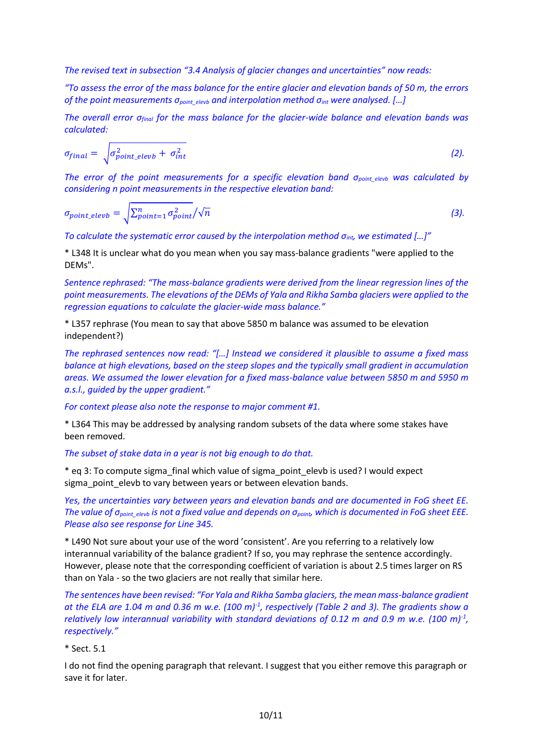*The revised text in subsection "3.4 Analysis of glacier changes and uncertainties" now reads:* 

*"To assess the error of the mass balance for the entire glacier and elevation bands of 50 m, the errors of the point measurements σpoint\_elevb and interpolation method σint were analysed. […]*

*The overall error σfinal for the mass balance for the glacier-wide balance and elevation bands was calculated:*

$$
\sigma_{final} = \sqrt{\sigma_{point\_elevb}^2 + \sigma_{int}^2}
$$
 (2).

*The error of the point measurements for a specific elevation band σpoint\_elevb was calculated by considering n point measurements in the respective elevation band:*

$$
\sigma_{point\_elevb} = \sqrt{\sum_{point=1}^{n} \sigma_{point}^2}/\sqrt{n}
$$
\n(3)

*To calculate the systematic error caused by the interpolation method σint, we estimated […]"*

\* L348 It is unclear what do you mean when you say mass-balance gradients "were applied to the DEMs".

*Sentence rephrased: "The mass-balance gradients were derived from the linear regression lines of the point measurements. The elevations of the DEMs of Yala and Rikha Samba glaciers were applied to the regression equations to calculate the glacier-wide mass balance."*

\* L357 rephrase (You mean to say that above 5850 m balance was assumed to be elevation independent?)

*The rephrased sentences now read: "[…] Instead we considered it plausible to assume a fixed mass balance at high elevations, based on the steep slopes and the typically small gradient in accumulation areas. We assumed the lower elevation for a fixed mass-balance value between 5850 m and 5950 m a.s.l., guided by the upper gradient."*

*For context please also note the response to major comment #1.*

\* L364 This may be addressed by analysing random subsets of the data where some stakes have been removed.

*The subset of stake data in a year is not big enough to do that.*

\* eq 3: To compute sigma\_final which value of sigma\_point\_elevb is used? I would expect sigma point elevb to vary between years or between elevation bands.

*Yes, the uncertainties vary between years and elevation bands and are documented in FoG sheet EE. The value of σpoint\_elevb is not a fixed value and depends on σpoint, which is documented in FoG sheet EEE. Please also see response for Line 345.*

\* L490 Not sure about your use of the word 'consistent'. Are you referring to a relatively low interannual variability of the balance gradient? If so, you may rephrase the sentence accordingly. However, please note that the corresponding coefficient of variation is about 2.5 times larger on RS than on Yala - so the two glaciers are not really that similar here.

*The sentences have been revised: "For Yala and Rikha Samba glaciers, the mean mass-balance gradient at the ELA are 1.04 m and 0.36 m w.e. (100 m)-1 , respectively (Table 2 and 3). The gradients show a relatively low interannual variability with standard deviations of 0.12 m and 0.9 m w.e. (100 m)-1 , respectively."*

#### \* Sect. 5.1

I do not find the opening paragraph that relevant. I suggest that you either remove this paragraph or save it for later.